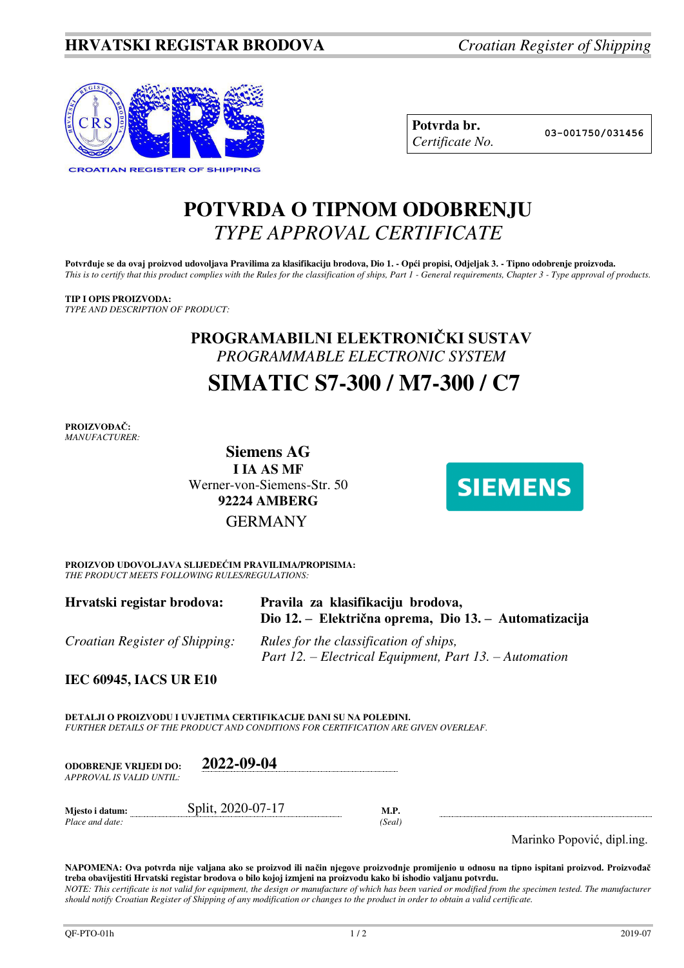

| Potvrda br.     |
|-----------------|
| Certificate No. |

**Potvrda br. 03-001750/031456**

# **POTVRDA O TIPNOM ODOBRENJU**  *TYPE APPROVAL CERTIFICATE*

Potvrđuje se da ovaj proizvod udovoljava Pravilima za klasifikaciju brodova, Dio 1. - Opći propisi, Odjeljak 3. - Tipno odobrenje proizvoda. *This is to certify that this product complies with the Rules for the classification of ships, Part 1 - General requirements, Chapter 3 - Type approval of products.* 

# **TIP I OPIS PROIZVODA:**

*TYPE AND DESCRIPTION OF PRODUCT:* 

# **PROGRAMABILNI ELEKTRONIČKI SUSTAV** *PROGRAMMABLE ELECTRONIC SYSTEM*   **SIMATIC S7-300 / M7-300 / C7**

**PROIZVOĐAČ:** *MANUFACTURER:*

> **Siemens AG I IA AS MF**  Werner-von-Siemens-Str. 50 **92224 AMBERG** GERMANY



**PROIZVOD UDOVOLJAVA SLIJEDEĆIM PRAVILIMA/PROPISIMA:** *THE PRODUCT MEETS FOLLOWING RULES/REGULATIONS:* 

| Hrvatski registar brodova:            | Pravila za klasifikaciju brodova,<br>Dio 12. – Električna oprema, Dio 13. – Automatizacija       |
|---------------------------------------|--------------------------------------------------------------------------------------------------|
| <i>Croatian Register of Shipping:</i> | Rules for the classification of ships,<br>Part 12. – Electrical Equipment, Part 13. – Automation |

**IEC 60945, IACS UR E10** 

**DETALJI O PROIZVODU I UVJETIMA CERTIFIKACIJE DANI SU NA POLEĐINI.** *FURTHER DETAILS OF THE PRODUCT AND CONDITIONS FOR CERTIFICATION ARE GIVEN OVERLEAF.* 

**ODOBRENJE VRIJEDI DO: 2022-09-04** *APPROVAL IS VALID UNTIL:*

*Place and date:* 

**Mjesto i datum: Split, 2020-07-17 M.P.** *M.P. Place and date:* (*Seal*)

Marinko Popović, dipl.ing.

**NAPOMENA: Ova potvrda nije valjana ako se proizvod ili način njegove proizvodnje promijenio u odnosu na tipno ispitani proizvod. Proizvođač treba obavijestiti Hrvatski registar brodova o bilo kojoj izmjeni na proizvodu kako bi ishodio valjanu potvrdu.**  *NOTE: This certificate is not valid for equipment, the design or manufacture of which has been varied or modified from the specimen tested. The manufacturer should notify Croatian Register of Shipping of any modification or changes to the product in order to obtain a valid certificate.*